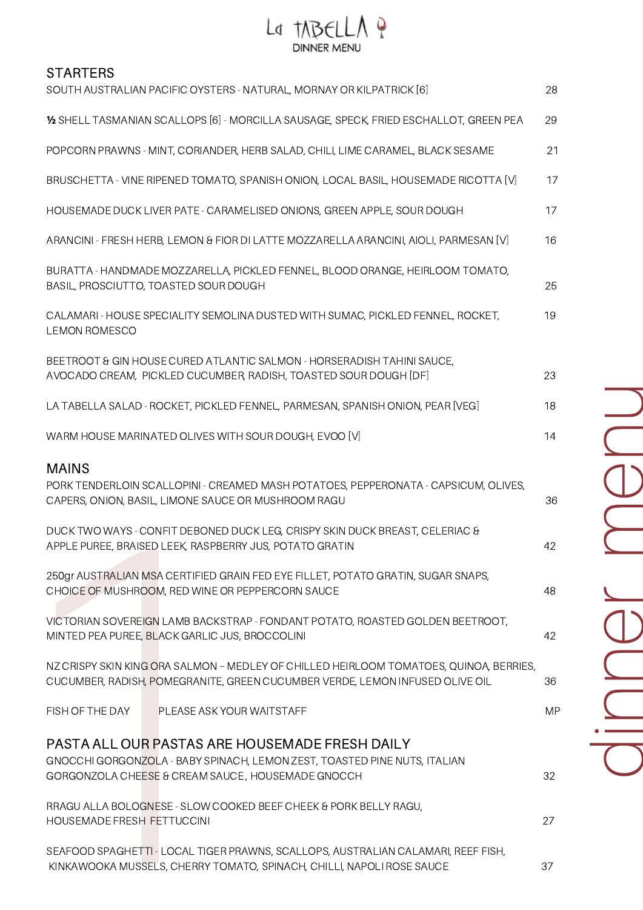## La TABELLA ?

## **STARTERS**

| SOUTH AUSTRALIAN PACIFIC OYSTERS - NATURAL, MORNAY OR KILPATRICK [6]                                                                                                             | 28        |
|----------------------------------------------------------------------------------------------------------------------------------------------------------------------------------|-----------|
| 1/2 SHELL TASMANIAN SCALLOPS [6] - MORCILLA SAUSAGE, SPECK, FRIED ESCHALLOT, GREEN PEA                                                                                           | 29        |
| POPCORN PRAWNS - MINT, CORIANDER, HERB SALAD, CHILI, LIME CARAMEL, BLACK SESAME                                                                                                  | 21        |
| BRUSCHETTA - VINE RIPENED TOMATO, SPANISH ONION, LOCAL BASIL, HOUSEMADE RICOTTA [V]                                                                                              | 17        |
| HOUSEMADE DUCK LIVER PATE - CARAMELISED ONIONS, GREEN APPLE, SOUR DOUGH                                                                                                          | 17        |
| ARANCINI - FRESH HERB, LEMON & FIOR DI LATTE MOZZARELLA ARANCINI, AIOLI, PARMESAN [V]                                                                                            | 16        |
| BURATTA - HANDMADE MOZZARELLA, PICKLED FENNEL, BLOOD ORANGE, HEIRLOOM TOMATO,<br>BASIL, PROSCIUTTO, TOASTED SOUR DOUGH                                                           | 25        |
| CALAMARI - HOUSE SPECIALITY SEMOLINA DUSTED WITH SUMAC, PICKLED FENNEL, ROCKET,<br><b>LEMON ROMESCO</b>                                                                          | 19        |
| BEETROOT & GIN HOUSE CURED ATLANTIC SALMON - HORSERADISH TAHINI SAUCE,<br>AVOCADO CREAM, PICKLED CUCUMBER, RADISH, TOASTED SOUR DOUGH [DF]                                       | 23        |
| LA TABELLA SALAD - ROCKET, PICKLED FENNEL, PARMESAN, SPANISH ONION, PEAR [VEG]                                                                                                   | 18        |
| WARM HOUSE MARINATED OLIVES WITH SOUR DOUGH, EVOO [V]                                                                                                                            | 14        |
| <b>MAINS</b><br>PORK TENDERLOIN SCALLOPINI - CREAMED MASH POTATOES, PEPPERONATA - CAPSICUM, OLIVES,<br>CAPERS, ONION, BASIL, LIMONE SAUCE OR MUSHROOM RAGU                       | 36        |
| DUCK TWO WAYS - CONFIT DEBONED DUCK LEG, CRISPY SKIN DUCK BREAST, CELERIAC &<br>APPLE PUREE, BRAISED LEEK, RASPBERRY JUS, POTATO GRATIN                                          | 42        |
| 250gr AUSTRALIAN MSA CERTIFIED GRAIN FED EYE FILLET, POTATO GRATIN, SUGAR SNAPS,<br>CHOICE OF MUSHROOM, RED WINE OR PEPPERCORN SAUCE                                             | 48        |
| VICTORIAN SOVEREIGN LAMB BACKSTRAP - FONDANT POTATO, ROASTED GOLDEN BEETROOT,<br>MINTED PEA PUREE, BLACK GARLIC JUS, BROCCOLINI                                                  | 42        |
| NZ CRISPY SKIN KING ORA SALMON - MEDLEY OF CHILLED HEIRLOOM TOMATOES, QUINOA, BERRIES,<br>CUCUMBER, RADISH, POMEGRANITE, GREEN CUCUMBER VERDE, LEMON INFUSED OLIVE OIL           | 36        |
| FISH OF THE DAY<br>PLEASE ASK YOUR WAITSTAFF                                                                                                                                     | <b>MP</b> |
| PASTA ALL OUR PASTAS ARE HOUSEMADE FRESH DAILY<br>GNOCCHI GORGONZOLA - BABY SPINACH, LEMON ZEST, TOASTED PINE NUTS, ITALIAN<br>GORGONZOLA CHEESE & CREAM SAUCE, HOUSEMADE GNOCCH | 32        |
| RRAGU ALLA BOLOGNESE - SLOW COOKED BEEF CHEEK & PORK BELLY RAGU,<br>HOUSEMADE FRESH FETTUCCINI                                                                                   | 27        |
| SEAFOOD SPAGHETTI - LOCAL TIGER PRAWNS, SCALLOPS, AUSTRALIAN CALAMARI, REEF FISH,<br>KINKAWOOKA MUSSELS, CHERRY TOMATO, SPINACH, CHILLI, NAPOLI ROSE SAUCE                       | 37        |

din  $\Box$  $\bigcirc$  $\overline{\phantom{0}}$  $\sum$  $\bigcirc$  $\Box$ u